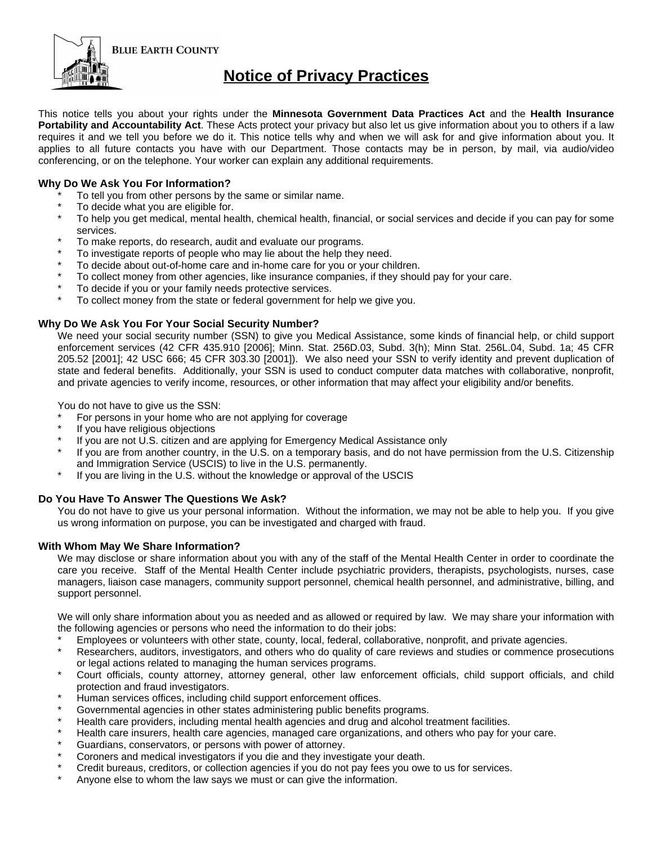

# **Notice of Privacy Practices**

This notice tells you about your rights under the **Minnesota Government Data Practices Act** and the **Health Insurance Portability and Accountability Act**. These Acts protect your privacy but also let us give information about you to others if a law requires it and we tell you before we do it. This notice tells why and when we will ask for and give information about you. It applies to all future contacts you have with our Department. Those contacts may be in person, by mail, via audio/video conferencing, or on the telephone. Your worker can explain any additional requirements.

## **Why Do We Ask You For Information?**

- To tell you from other persons by the same or similar name.
- To decide what you are eligible for.
- To help you get medical, mental health, chemical health, financial, or social services and decide if you can pay for some services.
- To make reports, do research, audit and evaluate our programs.
- To investigate reports of people who may lie about the help they need.
- To decide about out-of-home care and in-home care for you or your children.
- To collect money from other agencies, like insurance companies, if they should pay for your care.
- To decide if you or your family needs protective services.
- To collect money from the state or federal government for help we give you.

### **Why Do We Ask You For Your Social Security Number?**

We need your social security number (SSN) to give you Medical Assistance, some kinds of financial help, or child support enforcement services (42 CFR 435.910 [2006]; Minn. Stat. 256D.03, Subd. 3(h); Minn Stat. 256L.04, Subd. 1a; 45 CFR 205.52 [2001]; 42 USC 666; 45 CFR 303.30 [2001]). We also need your SSN to verify identity and prevent duplication of state and federal benefits. Additionally, your SSN is used to conduct computer data matches with collaborative, nonprofit, and private agencies to verify income, resources, or other information that may affect your eligibility and/or benefits.

You do not have to give us the SSN:

- For persons in your home who are not applying for coverage
- If you have religious objections
- If you are not U.S. citizen and are applying for Emergency Medical Assistance only
- If you are from another country, in the U.S. on a temporary basis, and do not have permission from the U.S. Citizenship and Immigration Service (USCIS) to live in the U.S. permanently.
- If you are living in the U.S. without the knowledge or approval of the USCIS

### **Do You Have To Answer The Questions We Ask?**

You do not have to give us your personal information. Without the information, we may not be able to help you. If you give us wrong information on purpose, you can be investigated and charged with fraud.

### **With Whom May We Share Information?**

We may disclose or share information about you with any of the staff of the Mental Health Center in order to coordinate the care you receive. Staff of the Mental Health Center include psychiatric providers, therapists, psychologists, nurses, case managers, liaison case managers, community support personnel, chemical health personnel, and administrative, billing, and support personnel.

We will only share information about you as needed and as allowed or required by law. We may share your information with the following agencies or persons who need the information to do their jobs:

- \* Employees or volunteers with other state, county, local, federal, collaborative, nonprofit, and private agencies.
- Researchers, auditors, investigators, and others who do quality of care reviews and studies or commence prosecutions or legal actions related to managing the human services programs.
- Court officials, county attorney, attorney general, other law enforcement officials, child support officials, and child protection and fraud investigators.
- Human services offices, including child support enforcement offices.
- Governmental agencies in other states administering public benefits programs.
- Health care providers, including mental health agencies and drug and alcohol treatment facilities.
- Health care insurers, health care agencies, managed care organizations, and others who pay for your care.
- Guardians, conservators, or persons with power of attorney.
- Coroners and medical investigators if you die and they investigate your death.
- Credit bureaus, creditors, or collection agencies if you do not pay fees you owe to us for services.
- Anyone else to whom the law says we must or can give the information.